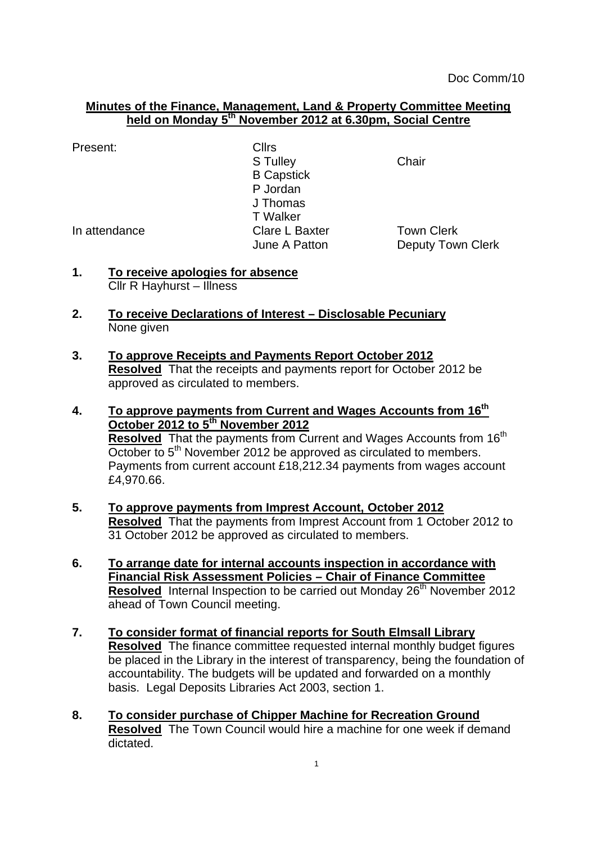## **Minutes of the Finance, Management, Land & Property Committee Meeting held on Monday 5 th November 2012 at 6.30pm, Social Centre**

| Present:      | <b>Cllrs</b>      |                          |
|---------------|-------------------|--------------------------|
|               | S Tulley          | Chair                    |
|               | <b>B</b> Capstick |                          |
|               | P Jordan          |                          |
|               | J Thomas          |                          |
|               | <b>T</b> Walker   |                          |
| In attendance | Clare L Baxter    | <b>Town Clerk</b>        |
|               | June A Patton     | <b>Deputy Town Clerk</b> |

- **1. To receive apologies for absence** Cllr R Hayhurst – Illness
- **2. To receive Declarations of Interest – Disclosable Pecuniary** None given
- **3. To approve Receipts and Payments Report October 2012 Resolved** That the receipts and payments report for October 2012 be approved as circulated to members.
- **4. To approve payments from Current and Wages Accounts from 16th October 2012 to 5th November 2012 Resolved** That the payments from Current and Wages Accounts from 16<sup>th</sup> October to 5<sup>th</sup> November 2012 be approved as circulated to members. Payments from current account £18,212.34 payments from wages account £4,970.66.
- **5. To approve payments from Imprest Account, October 2012 Resolved** That the payments from Imprest Account from 1 October 2012 to 31 October 2012 be approved as circulated to members.
- **6. To arrange date for internal accounts inspection in accordance with Financial Risk Assessment Policies – Chair of Finance Committee Resolved** Internal Inspection to be carried out Monday 26<sup>th</sup> November 2012 ahead of Town Council meeting.
- **7. To consider format of financial reports for South Elmsall Library Resolved** The finance committee requested internal monthly budget figures be placed in the Library in the interest of transparency, being the foundation of accountability. The budgets will be updated and forwarded on a monthly basis. Legal Deposits Libraries Act 2003, section 1.
- **8. To consider purchase of Chipper Machine for Recreation Ground Resolved** The Town Council would hire a machine for one week if demand dictated.